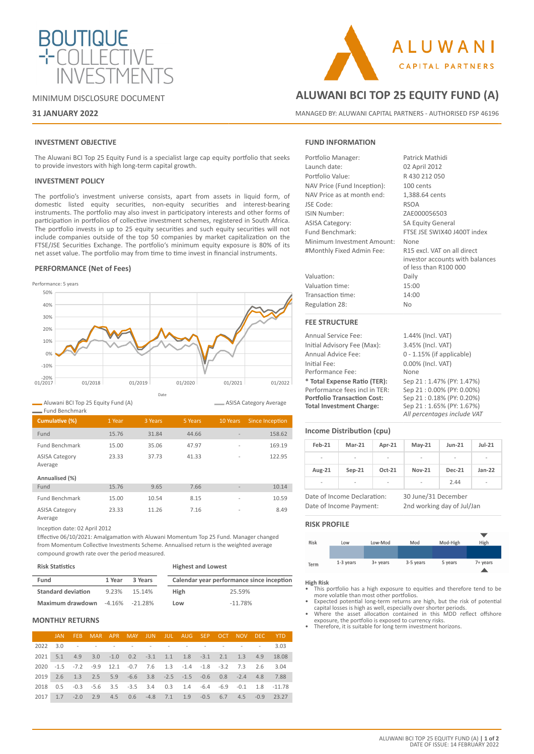

MINIMUM DISCLOSURE DOCUMENT

# **31 JANUARY 2022**

# **INVESTMENT OBJECTIVE**

The Aluwani BCI Top 25 Equity Fund is a specialist large cap equity portfolio that seeks to provide investors with high long-term capital growth.

## **INVESTMENT POLICY**

The portfolio's investment universe consists, apart from assets in liquid form, of domestic listed equity securities, non-equity securities and interest-bearing instruments. The portfolio may also invest in participatory interests and other forms of participation in portfolios of collective investment schemes, registered in South Africa. The portfolio invests in up to 25 equity securities and such equity securities will not include companies outside of the top 50 companies by market capitalization on the FTSE/JSE Securities Exchange. The portfolio's minimum equity exposure is 80% of its net asset value. The portfolio may from time to time invest in financial instruments.

# **PERFORMANCE (Net of Fees)**



Aluwani BCI Top 25 Equity Fund (A)

| - Fund Benchmark                 |        |         |         |                          |                        |
|----------------------------------|--------|---------|---------|--------------------------|------------------------|
| Cumulative (%)                   | 1 Year | 3 Years | 5 Years | 10 Years                 | <b>Since Inception</b> |
| Fund                             | 15.76  | 31.84   | 44.66   | $\overline{\phantom{a}}$ | 158.62                 |
| <b>Fund Benchmark</b>            | 15.00  | 35.06   | 47.97   | $\overline{\phantom{a}}$ | 169.19                 |
| <b>ASISA Category</b><br>Average | 23.33  | 37.73   | 41.33   | $\overline{a}$           | 122.95                 |
| Annualised (%)                   |        |         |         |                          |                        |
| Fund                             | 15.76  | 9.65    | 7.66    | $\overline{\phantom{a}}$ | 10.14                  |
| <b>Fund Benchmark</b>            | 15.00  | 10.54   | 8.15    | $\overline{\phantom{a}}$ | 10.59                  |
| <b>ASISA Category</b><br>Average | 23.33  | 11.26   | 7.16    | $\overline{a}$           | 8.49                   |

Inception date: 02 April 2012

Effective 06/10/2021: Amalgamation with Aluwani Momentum Top 25 Fund. Manager changed from Momentum Collective Investments Scheme. Annualised return is the weighted average compound growth rate over the period measured.

#### **Risk Statistics**

| <b>Highest and Lowest</b> |  |
|---------------------------|--|
|---------------------------|--|

ASISA Category Average

| Fund                      | 1 Year | 3 Years        |      | Calendar year performance since inception |
|---------------------------|--------|----------------|------|-------------------------------------------|
| <b>Standard deviation</b> | 9.23%  | 15.14%         | High | 25.59%                                    |
| Maximum drawdown          |        | -4.16% -21.28% | Low  | $-11.78%$                                 |

# **MONTHLY RETURNS**

| <b>JAN</b> |                                                                   |  |  |  |  | FEB MAR APR MAY JUN JUL AUG SEP OCT NOV DEC YTD                   |
|------------|-------------------------------------------------------------------|--|--|--|--|-------------------------------------------------------------------|
|            | 2022 3.0 - - - - - - - - - - - - 3.03                             |  |  |  |  |                                                                   |
|            |                                                                   |  |  |  |  | 2021 5.1 4.9 3.0 -1.0 0.2 -3.1 1.1 1.8 -3.1 2.1 1.3 4.9 18.08     |
|            | 2020 -1.5 -7.2 -9.9 12.1 -0.7 7.6 1.3 -1.4 -1.8 -3.2 7.3 2.6 3.04 |  |  |  |  |                                                                   |
|            | 2019 2.6 1.3 2.5 5.9 -6.6 3.8 -2.5 -1.5 -0.6 0.8 -2.4 4.8 7.88    |  |  |  |  |                                                                   |
|            |                                                                   |  |  |  |  | 2018 0.5 -0.3 -5.6 3.5 -3.5 3.4 0.3 1.4 -6.4 -6.9 -0.1 1.8 -11.78 |
|            |                                                                   |  |  |  |  | 2017 1.7 -2.0 2.9 4.5 0.6 -4.8 7.1 1.9 -0.5 6.7 4.5 -0.9 23.27    |

# **FUND INFORMATION**

| EEE CTDUCTUOF               |                                                                                         |
|-----------------------------|-----------------------------------------------------------------------------------------|
| Regulation 28:              | <b>No</b>                                                                               |
| Transaction time:           | 14:00                                                                                   |
| Valuation time:             | 15:00                                                                                   |
| Valuation:                  | Daily                                                                                   |
| #Monthly Fixed Admin Fee:   | R15 excl. VAT on all direct<br>investor accounts with balances<br>of less than R100 000 |
| Minimum Investment Amount:  | None                                                                                    |
| Fund Benchmark:             | FTSE JSE SWIX40 J400T index                                                             |
| <b>ASISA Category:</b>      | <b>SA Equity General</b>                                                                |
| ISIN Number:                | ZAE000056503                                                                            |
| JSE Code:                   | <b>RSOA</b>                                                                             |
| NAV Price as at month end:  | 1,388.64 cents                                                                          |
| NAV Price (Fund Inception): | 100 cents                                                                               |
| Portfolio Value:            | R430 212 050                                                                            |
| Launch date:                | 02 April 2012                                                                           |
| Portfolio Manager:          | Patrick Mathidi                                                                         |
|                             |                                                                                         |

**ALUWANI BCI TOP 25 EQUITY FUND (A)**

**ALUWANI** 

**CAPITAL PARTNERS** 

MANAGED BY: ALUWANI CAPITAL PARTNERS - AUTHORISED FSP 46196

#### **FEE STRUCTURE**

| <b>Annual Service Fee:</b>         | 1.44% (Incl. VAT)            |
|------------------------------------|------------------------------|
| Initial Advisory Fee (Max):        | 3.45% (Incl. VAT)            |
| Annual Advice Fee:                 | $0 - 1.15\%$ (if applicable) |
| Initial Fee:                       | 0.00% (Incl. VAT)            |
| Performance Fee:                   | None                         |
| * Total Expense Ratio (TER):       | Sep 21:1.47% (PY: 1.47%)     |
| Performance fees incl in TER:      | Sep 21:0.00% (PY: 0.00%)     |
| <b>Portfolio Transaction Cost:</b> | Sep 21:0.18% (PY: 0.20%)     |
| <b>Total Investment Charge:</b>    | Sep 21:1.65% (PY: 1.67%)     |
|                                    | All percentages include VAT  |

## **Income Distribution (cpu)**

| Feb-21                   | $Mar-21$ | Apr-21                   | $May-21$                 | $Jun-21$      | $Jul-21$ |
|--------------------------|----------|--------------------------|--------------------------|---------------|----------|
| $\qquad \qquad$          | -        | $\overline{\phantom{0}}$ | $\overline{\phantom{a}}$ | -             | -        |
| Aug-21                   | $Sep-21$ | Oct-21                   | <b>Nov-21</b>            | <b>Dec-21</b> | $Jan-22$ |
| $\overline{\phantom{a}}$ | -        | ٠                        | $\overline{\phantom{a}}$ | 2.44          | -        |

Date of Income Declaration: 30 June/31 December Date of Income Payment: 2nd working day of Jul/Jan

## **RISK PROFILE**



# **High Risk**

• This portfolio has a high exposure to equities and therefore tend to be more volatile than most other portfolios.

- Expected potential long-term returns are high, but the risk of potential capital losses is high as well, especially over shorter periods. Where the asset allocation contained in this MDD reflect offshore
- exposure, the portfolio is exposed to currency risks. Therefore, it is suitable for long term investment horizons.
-